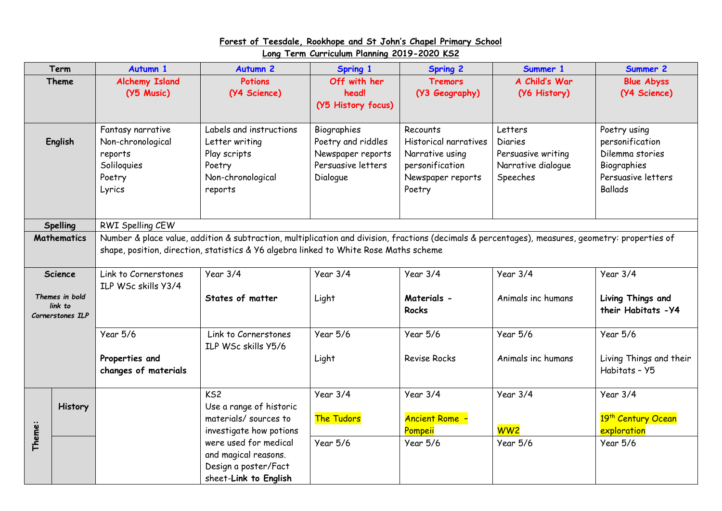## **Forest of Teesdale, Rookhope and St John's Chapel Primary School Long Term Curriculum Planning 2019-2020 KS2**

| Term                                          |                    | <b>Autumn 1</b>                                                                                                                                                                                                                           | <b>Autumn 2</b>                                                                                     | <b>Spring 1</b>                                                                          | <b>Spring 2</b>                                                                                        | Summer 1                                                                          | Summer 2                                                                                                  |  |  |
|-----------------------------------------------|--------------------|-------------------------------------------------------------------------------------------------------------------------------------------------------------------------------------------------------------------------------------------|-----------------------------------------------------------------------------------------------------|------------------------------------------------------------------------------------------|--------------------------------------------------------------------------------------------------------|-----------------------------------------------------------------------------------|-----------------------------------------------------------------------------------------------------------|--|--|
| <b>Theme</b>                                  |                    | <b>Alchemy Island</b><br>(Y5 Music)                                                                                                                                                                                                       | <b>Potions</b><br>(Y4 Science)                                                                      | Off with her<br>head!<br>(Y5 History focus)                                              | <b>Tremors</b><br>(Y3 Geography)                                                                       | A Child's War<br>(Y6 History)                                                     | <b>Blue Abyss</b><br>(Y4 Science)                                                                         |  |  |
| English                                       |                    | Fantasy narrative<br>Non-chronological<br>reports<br>Soliloquies<br>Poetry<br>Lyrics                                                                                                                                                      | Labels and instructions<br>Letter writing<br>Play scripts<br>Poetry<br>Non-chronological<br>reports | Biographies<br>Poetry and riddles<br>Newspaper reports<br>Persuasive letters<br>Dialogue | Recounts<br>Historical narratives<br>Narrative using<br>personification<br>Newspaper reports<br>Poetry | Letters<br><b>Diaries</b><br>Persuasive writing<br>Narrative dialogue<br>Speeches | Poetry using<br>personification<br>Dilemma stories<br>Biographies<br>Persuasive letters<br><b>Ballads</b> |  |  |
| <b>Spelling</b>                               |                    | RWI Spelling CEW                                                                                                                                                                                                                          |                                                                                                     |                                                                                          |                                                                                                        |                                                                                   |                                                                                                           |  |  |
|                                               | <b>Mathematics</b> | Number & place value, addition & subtraction, multiplication and division, fractions (decimals & percentages), measures, geometry: properties of<br>shape, position, direction, statistics & Y6 algebra linked to White Rose Maths scheme |                                                                                                     |                                                                                          |                                                                                                        |                                                                                   |                                                                                                           |  |  |
|                                               | <b>Science</b>     | Link to Cornerstones<br>ILP WSc skills Y3/4                                                                                                                                                                                               | Year $3/4$                                                                                          | Year 3/4                                                                                 | Year 3/4                                                                                               | Year $3/4$                                                                        | Year $3/4$                                                                                                |  |  |
| Themes in bold<br>link to<br>Cornerstones ILP |                    |                                                                                                                                                                                                                                           | States of matter                                                                                    | Light                                                                                    | Materials -<br><b>Rocks</b>                                                                            | Animals inc humans                                                                | Living Things and<br>their Habitats - Y4                                                                  |  |  |
|                                               |                    | <b>Year 5/6</b>                                                                                                                                                                                                                           | Link to Cornerstones<br>ILP WSc skills Y5/6                                                         | <b>Year 5/6</b>                                                                          | Year 5/6                                                                                               | <b>Year 5/6</b>                                                                   | Year 5/6                                                                                                  |  |  |
|                                               |                    | Properties and<br>changes of materials                                                                                                                                                                                                    |                                                                                                     | Light                                                                                    | <b>Revise Rocks</b>                                                                                    | Animals inc humans                                                                | Living Things and their<br>Habitats - Y5                                                                  |  |  |
|                                               | <b>History</b>     |                                                                                                                                                                                                                                           | KS <sub>2</sub><br>Use a range of historic                                                          | Year $3/4$                                                                               | Year 3/4                                                                                               | Year $3/4$                                                                        | Year $3/4$                                                                                                |  |  |
|                                               |                    |                                                                                                                                                                                                                                           | materials/ sources to<br>investigate how potions                                                    | The Tudors                                                                               | <b>Ancient Rome -</b><br>Pompeii                                                                       | <b>WW2</b>                                                                        | 19 <sup>th</sup> Century Ocean<br>exploration                                                             |  |  |
| Theme:                                        |                    |                                                                                                                                                                                                                                           | were used for medical<br>and magical reasons.<br>Design a poster/Fact<br>sheet-Link to English      | <b>Year 5/6</b>                                                                          | Year 5/6                                                                                               | Year 5/6                                                                          | Year 5/6                                                                                                  |  |  |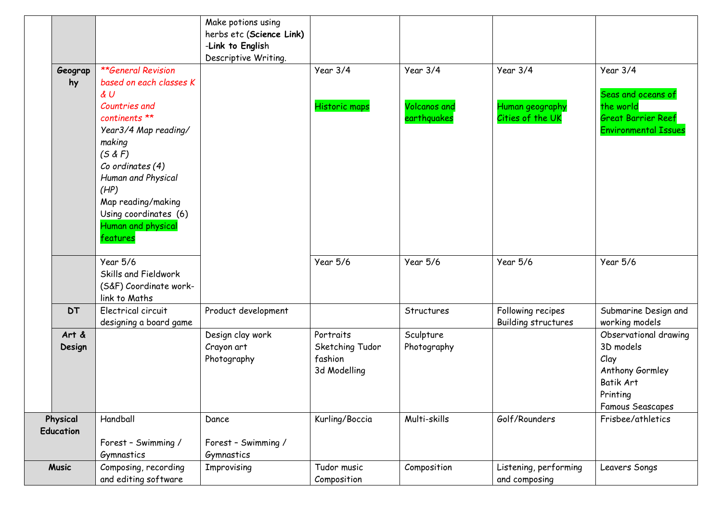|              |                           | Make potions using       |                      |                     |                       |                             |
|--------------|---------------------------|--------------------------|----------------------|---------------------|-----------------------|-----------------------------|
|              |                           | herbs etc (Science Link) |                      |                     |                       |                             |
|              |                           | -Link to English         |                      |                     |                       |                             |
|              |                           | Descriptive Writing.     |                      |                     |                       |                             |
| Geograp      | <b>**General Revision</b> |                          | Year 3/4             | Year $3/4$          | Year $3/4$            | Year $3/4$                  |
| hy           | based on each classes K   |                          |                      |                     |                       |                             |
|              | $\n  d$                   |                          |                      |                     |                       | Seas and oceans of          |
|              | Countries and             |                          | <b>Historic maps</b> | <b>Volcanos</b> and | Human geography       | the world                   |
|              | continents **             |                          |                      | earthquakes         | Cities of the UK      | <b>Great Barrier Reef</b>   |
|              | Year3/4 Map reading/      |                          |                      |                     |                       | <b>Environmental Issues</b> |
|              | making                    |                          |                      |                     |                       |                             |
|              | (5 & F)                   |                          |                      |                     |                       |                             |
|              | Co ordinates (4)          |                          |                      |                     |                       |                             |
|              | Human and Physical        |                          |                      |                     |                       |                             |
|              | (HP)                      |                          |                      |                     |                       |                             |
|              | Map reading/making        |                          |                      |                     |                       |                             |
|              | Using coordinates (6)     |                          |                      |                     |                       |                             |
|              | Human and physical        |                          |                      |                     |                       |                             |
|              | features                  |                          |                      |                     |                       |                             |
|              | Year 5/6                  |                          | Year 5/6             | <b>Year 5/6</b>     | Year 5/6              | <b>Year 5/6</b>             |
|              | Skills and Fieldwork      |                          |                      |                     |                       |                             |
|              | (S&F) Coordinate work-    |                          |                      |                     |                       |                             |
|              | link to Maths             |                          |                      |                     |                       |                             |
| <b>DT</b>    | Electrical circuit        | Product development      |                      | Structures          | Following recipes     | Submarine Design and        |
|              | designing a board game    |                          |                      |                     | Building structures   | working models              |
| Art &        |                           | Design clay work         | Portraits            | Sculpture           |                       | Observational drawing       |
| Design       |                           | Crayon art               | Sketching Tudor      | Photography         |                       | 3D models                   |
|              |                           | Photography              | fashion              |                     |                       | Clay                        |
|              |                           |                          | 3d Modelling         |                     |                       | Anthony Gormley             |
|              |                           |                          |                      |                     |                       | Batik Art                   |
|              |                           |                          |                      |                     |                       | Printing                    |
|              |                           |                          |                      |                     |                       | <b>Famous Seascapes</b>     |
| Physical     | Handball                  | Dance                    | Kurling/Boccia       | Multi-skills        | Golf/Rounders         | Frisbee/athletics           |
| Education    |                           |                          |                      |                     |                       |                             |
|              | Forest - Swimming /       | Forest - Swimming /      |                      |                     |                       |                             |
|              | Gymnastics                | Gymnastics               |                      |                     |                       |                             |
| <b>Music</b> | Composing, recording      | Improvising              | Tudor music          | Composition         | Listening, performing | Leavers Songs               |
|              | and editing software      |                          | Composition          |                     | and composing         |                             |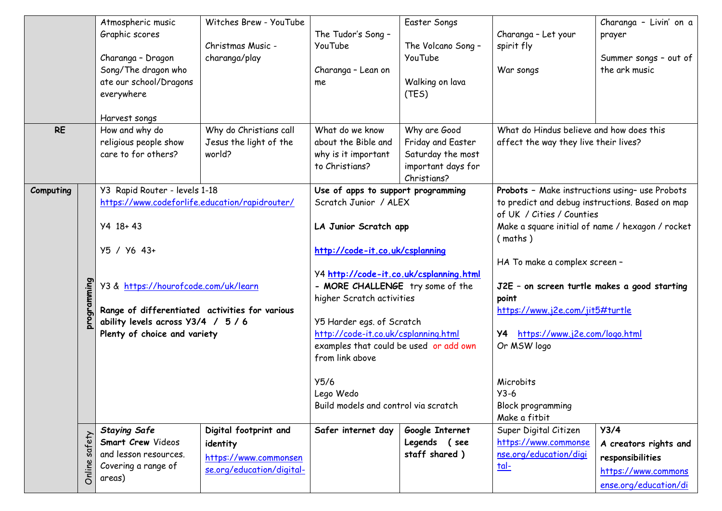| Graphic scores<br>The Tudor's Song -<br>Charanga - Let your<br>prayer<br>The Volcano Song -<br>Christmas Music -<br>YouTube<br>spirit fly<br>Charanga - Dragon<br>YouTube<br>charanga/play<br>Summer songs - out of<br>Song/The dragon who<br>the ark music<br>Charanga - Lean on<br>War songs<br>ate our school/Dragons<br>Walking on lava<br>me<br>everywhere<br>(TES)<br>Harvest songs<br>Why do Christians call<br>Why are Good<br>What do Hindus believe and how does this<br><b>RE</b><br>How and why do<br>What do we know<br>religious people show<br>Jesus the light of the<br>about the Bible and<br>Friday and Easter<br>affect the way they live their lives?<br>care to for others?<br>world?<br>Saturday the most<br>why is it important<br>important days for<br>to Christians?<br>Christians?<br>Y3 Rapid Router - levels 1-18<br>Use of apps to support programming<br>Probots - Make instructions using- use Probots<br>Computing<br>https://www.codeforlife.education/rapidrouter/<br>Scratch Junior / ALEX<br>to predict and debug instructions. Based on map<br>of UK / Cities / Counties<br>$Y4$ 18+43<br>Make a square initial of name / hexagon / rocket<br>LA Junior Scratch app<br>(maths)<br>Y5 / Y6 43+<br>http://code-it.co.uk/csplanning<br>HA To make a complex screen -<br>Y4 http://code-it.co.uk/csplanning.html<br>umming<br>Y3 & https://hourofcode.com/uk/learn<br>- MORE CHALLENGE try some of the<br>J2E - on screen turtle makes a good starting<br>higher Scratch activities<br>point<br>Range of differentiated activities for various<br>https://www.j2e.com/jit5#turtle |
|---------------------------------------------------------------------------------------------------------------------------------------------------------------------------------------------------------------------------------------------------------------------------------------------------------------------------------------------------------------------------------------------------------------------------------------------------------------------------------------------------------------------------------------------------------------------------------------------------------------------------------------------------------------------------------------------------------------------------------------------------------------------------------------------------------------------------------------------------------------------------------------------------------------------------------------------------------------------------------------------------------------------------------------------------------------------------------------------------------------------------------------------------------------------------------------------------------------------------------------------------------------------------------------------------------------------------------------------------------------------------------------------------------------------------------------------------------------------------------------------------------------------------------------------------------------------------------------------------------------------|
|                                                                                                                                                                                                                                                                                                                                                                                                                                                                                                                                                                                                                                                                                                                                                                                                                                                                                                                                                                                                                                                                                                                                                                                                                                                                                                                                                                                                                                                                                                                                                                                                                     |
|                                                                                                                                                                                                                                                                                                                                                                                                                                                                                                                                                                                                                                                                                                                                                                                                                                                                                                                                                                                                                                                                                                                                                                                                                                                                                                                                                                                                                                                                                                                                                                                                                     |
|                                                                                                                                                                                                                                                                                                                                                                                                                                                                                                                                                                                                                                                                                                                                                                                                                                                                                                                                                                                                                                                                                                                                                                                                                                                                                                                                                                                                                                                                                                                                                                                                                     |
|                                                                                                                                                                                                                                                                                                                                                                                                                                                                                                                                                                                                                                                                                                                                                                                                                                                                                                                                                                                                                                                                                                                                                                                                                                                                                                                                                                                                                                                                                                                                                                                                                     |
|                                                                                                                                                                                                                                                                                                                                                                                                                                                                                                                                                                                                                                                                                                                                                                                                                                                                                                                                                                                                                                                                                                                                                                                                                                                                                                                                                                                                                                                                                                                                                                                                                     |
|                                                                                                                                                                                                                                                                                                                                                                                                                                                                                                                                                                                                                                                                                                                                                                                                                                                                                                                                                                                                                                                                                                                                                                                                                                                                                                                                                                                                                                                                                                                                                                                                                     |
|                                                                                                                                                                                                                                                                                                                                                                                                                                                                                                                                                                                                                                                                                                                                                                                                                                                                                                                                                                                                                                                                                                                                                                                                                                                                                                                                                                                                                                                                                                                                                                                                                     |
|                                                                                                                                                                                                                                                                                                                                                                                                                                                                                                                                                                                                                                                                                                                                                                                                                                                                                                                                                                                                                                                                                                                                                                                                                                                                                                                                                                                                                                                                                                                                                                                                                     |
|                                                                                                                                                                                                                                                                                                                                                                                                                                                                                                                                                                                                                                                                                                                                                                                                                                                                                                                                                                                                                                                                                                                                                                                                                                                                                                                                                                                                                                                                                                                                                                                                                     |
|                                                                                                                                                                                                                                                                                                                                                                                                                                                                                                                                                                                                                                                                                                                                                                                                                                                                                                                                                                                                                                                                                                                                                                                                                                                                                                                                                                                                                                                                                                                                                                                                                     |
|                                                                                                                                                                                                                                                                                                                                                                                                                                                                                                                                                                                                                                                                                                                                                                                                                                                                                                                                                                                                                                                                                                                                                                                                                                                                                                                                                                                                                                                                                                                                                                                                                     |
|                                                                                                                                                                                                                                                                                                                                                                                                                                                                                                                                                                                                                                                                                                                                                                                                                                                                                                                                                                                                                                                                                                                                                                                                                                                                                                                                                                                                                                                                                                                                                                                                                     |
|                                                                                                                                                                                                                                                                                                                                                                                                                                                                                                                                                                                                                                                                                                                                                                                                                                                                                                                                                                                                                                                                                                                                                                                                                                                                                                                                                                                                                                                                                                                                                                                                                     |
|                                                                                                                                                                                                                                                                                                                                                                                                                                                                                                                                                                                                                                                                                                                                                                                                                                                                                                                                                                                                                                                                                                                                                                                                                                                                                                                                                                                                                                                                                                                                                                                                                     |
|                                                                                                                                                                                                                                                                                                                                                                                                                                                                                                                                                                                                                                                                                                                                                                                                                                                                                                                                                                                                                                                                                                                                                                                                                                                                                                                                                                                                                                                                                                                                                                                                                     |
|                                                                                                                                                                                                                                                                                                                                                                                                                                                                                                                                                                                                                                                                                                                                                                                                                                                                                                                                                                                                                                                                                                                                                                                                                                                                                                                                                                                                                                                                                                                                                                                                                     |
|                                                                                                                                                                                                                                                                                                                                                                                                                                                                                                                                                                                                                                                                                                                                                                                                                                                                                                                                                                                                                                                                                                                                                                                                                                                                                                                                                                                                                                                                                                                                                                                                                     |
|                                                                                                                                                                                                                                                                                                                                                                                                                                                                                                                                                                                                                                                                                                                                                                                                                                                                                                                                                                                                                                                                                                                                                                                                                                                                                                                                                                                                                                                                                                                                                                                                                     |
|                                                                                                                                                                                                                                                                                                                                                                                                                                                                                                                                                                                                                                                                                                                                                                                                                                                                                                                                                                                                                                                                                                                                                                                                                                                                                                                                                                                                                                                                                                                                                                                                                     |
|                                                                                                                                                                                                                                                                                                                                                                                                                                                                                                                                                                                                                                                                                                                                                                                                                                                                                                                                                                                                                                                                                                                                                                                                                                                                                                                                                                                                                                                                                                                                                                                                                     |
|                                                                                                                                                                                                                                                                                                                                                                                                                                                                                                                                                                                                                                                                                                                                                                                                                                                                                                                                                                                                                                                                                                                                                                                                                                                                                                                                                                                                                                                                                                                                                                                                                     |
|                                                                                                                                                                                                                                                                                                                                                                                                                                                                                                                                                                                                                                                                                                                                                                                                                                                                                                                                                                                                                                                                                                                                                                                                                                                                                                                                                                                                                                                                                                                                                                                                                     |
|                                                                                                                                                                                                                                                                                                                                                                                                                                                                                                                                                                                                                                                                                                                                                                                                                                                                                                                                                                                                                                                                                                                                                                                                                                                                                                                                                                                                                                                                                                                                                                                                                     |
|                                                                                                                                                                                                                                                                                                                                                                                                                                                                                                                                                                                                                                                                                                                                                                                                                                                                                                                                                                                                                                                                                                                                                                                                                                                                                                                                                                                                                                                                                                                                                                                                                     |
| ability levels across Y3/4 / 5 / 6<br>Y5 Harder egs. of Scratch                                                                                                                                                                                                                                                                                                                                                                                                                                                                                                                                                                                                                                                                                                                                                                                                                                                                                                                                                                                                                                                                                                                                                                                                                                                                                                                                                                                                                                                                                                                                                     |
| http://code-it.co.uk/csplanning.html<br>https://www.j2e.com/logo.html<br>Plenty of choice and variety<br>Y4                                                                                                                                                                                                                                                                                                                                                                                                                                                                                                                                                                                                                                                                                                                                                                                                                                                                                                                                                                                                                                                                                                                                                                                                                                                                                                                                                                                                                                                                                                         |
| examples that could be used or add own<br>Or MSW logo                                                                                                                                                                                                                                                                                                                                                                                                                                                                                                                                                                                                                                                                                                                                                                                                                                                                                                                                                                                                                                                                                                                                                                                                                                                                                                                                                                                                                                                                                                                                                               |
| from link above                                                                                                                                                                                                                                                                                                                                                                                                                                                                                                                                                                                                                                                                                                                                                                                                                                                                                                                                                                                                                                                                                                                                                                                                                                                                                                                                                                                                                                                                                                                                                                                                     |
|                                                                                                                                                                                                                                                                                                                                                                                                                                                                                                                                                                                                                                                                                                                                                                                                                                                                                                                                                                                                                                                                                                                                                                                                                                                                                                                                                                                                                                                                                                                                                                                                                     |
| Y5/6<br>Microbits                                                                                                                                                                                                                                                                                                                                                                                                                                                                                                                                                                                                                                                                                                                                                                                                                                                                                                                                                                                                                                                                                                                                                                                                                                                                                                                                                                                                                                                                                                                                                                                                   |
| Lego Wedo<br>$Y3-6$                                                                                                                                                                                                                                                                                                                                                                                                                                                                                                                                                                                                                                                                                                                                                                                                                                                                                                                                                                                                                                                                                                                                                                                                                                                                                                                                                                                                                                                                                                                                                                                                 |
| Build models and control via scratch<br><b>Block programming</b>                                                                                                                                                                                                                                                                                                                                                                                                                                                                                                                                                                                                                                                                                                                                                                                                                                                                                                                                                                                                                                                                                                                                                                                                                                                                                                                                                                                                                                                                                                                                                    |
| Make a fitbit                                                                                                                                                                                                                                                                                                                                                                                                                                                                                                                                                                                                                                                                                                                                                                                                                                                                                                                                                                                                                                                                                                                                                                                                                                                                                                                                                                                                                                                                                                                                                                                                       |
| <b>Staying Safe</b><br>Super Digital Citizen<br>Y3/4<br>Digital footprint and<br>Safer internet day<br>Google Internet                                                                                                                                                                                                                                                                                                                                                                                                                                                                                                                                                                                                                                                                                                                                                                                                                                                                                                                                                                                                                                                                                                                                                                                                                                                                                                                                                                                                                                                                                              |
| safety<br>Smart Crew Videos<br>Legends (see<br>https://www.commonse<br>identity<br>A creators rights and                                                                                                                                                                                                                                                                                                                                                                                                                                                                                                                                                                                                                                                                                                                                                                                                                                                                                                                                                                                                                                                                                                                                                                                                                                                                                                                                                                                                                                                                                                            |
| staff shared)<br>nse.org/education/digi<br>and lesson resources.<br>https://www.commonsen<br>responsibilities                                                                                                                                                                                                                                                                                                                                                                                                                                                                                                                                                                                                                                                                                                                                                                                                                                                                                                                                                                                                                                                                                                                                                                                                                                                                                                                                                                                                                                                                                                       |
| Covering a range of<br><u>tal-</u><br>Onlin<br>se.org/education/digital-<br>https://www.commons                                                                                                                                                                                                                                                                                                                                                                                                                                                                                                                                                                                                                                                                                                                                                                                                                                                                                                                                                                                                                                                                                                                                                                                                                                                                                                                                                                                                                                                                                                                     |
| areas)<br>ense.org/education/di                                                                                                                                                                                                                                                                                                                                                                                                                                                                                                                                                                                                                                                                                                                                                                                                                                                                                                                                                                                                                                                                                                                                                                                                                                                                                                                                                                                                                                                                                                                                                                                     |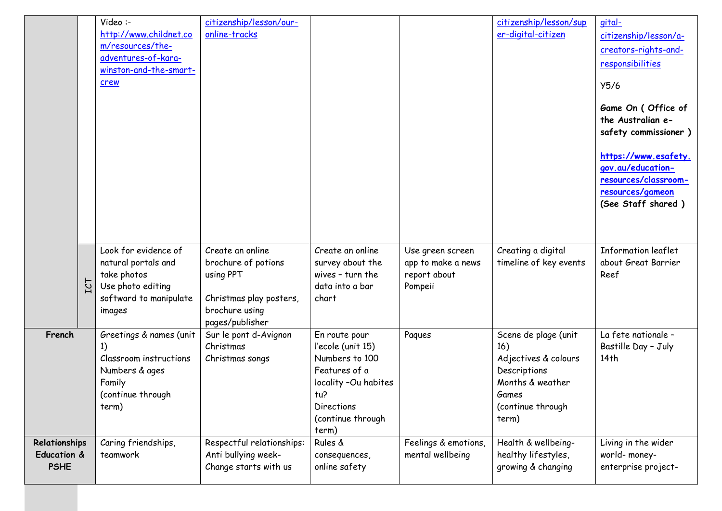|                                             |     | Video :-<br>http://www.childnet.co<br>m/resources/the-<br>adventures-of-kara-<br>winston-and-the-smart-<br>crew     | citizenship/lesson/our-<br>online-tracks                                                                             |                                                                                                                                                         |                                                                   | citizenship/lesson/sup<br>er-digital-citizen                                                                                   | gital-<br>citizenship/lesson/a-<br>creators-rights-and-<br>responsibilities<br>Y5/6<br>Game On (Office of<br>the Australian e-<br>safety commissioner)<br>https://www.esafety.<br>gov.au/education-<br>resources/classroom-<br>resources/gameon<br>(See Staff shared) |
|---------------------------------------------|-----|---------------------------------------------------------------------------------------------------------------------|----------------------------------------------------------------------------------------------------------------------|---------------------------------------------------------------------------------------------------------------------------------------------------------|-------------------------------------------------------------------|--------------------------------------------------------------------------------------------------------------------------------|-----------------------------------------------------------------------------------------------------------------------------------------------------------------------------------------------------------------------------------------------------------------------|
|                                             | TCT | Look for evidence of<br>natural portals and<br>take photos<br>Use photo editing<br>softward to manipulate<br>images | Create an online<br>brochure of potions<br>using PPT<br>Christmas play posters,<br>brochure using<br>pages/publisher | Create an online<br>survey about the<br>wives - turn the<br>data into a bar<br>chart                                                                    | Use green screen<br>app to make a news<br>report about<br>Pompeii | Creating a digital<br>timeline of key events                                                                                   | <b>Information leaflet</b><br>about Great Barrier<br>Reef                                                                                                                                                                                                             |
| French                                      |     | Greetings & names (unit<br>1)<br>Classroom instructions<br>Numbers & ages<br>Family<br>(continue through<br>term)   | Sur le pont d-Avignon<br>Christmas<br>Christmas songs                                                                | En route pour<br>l'ecole (unit 15)<br>Numbers to 100<br>Features of a<br>locality -Ou habites<br>tu?<br><b>Directions</b><br>(continue through<br>term) | Paques                                                            | Scene de plage (unit<br>16)<br>Adjectives & colours<br>Descriptions<br>Months & weather<br>Games<br>(continue through<br>term) | La fete nationale -<br>Bastille Day - July<br>14 <sup>th</sup>                                                                                                                                                                                                        |
| Relationships<br>Education &<br><b>PSHE</b> |     | Caring friendships,<br>teamwork                                                                                     | Respectful relationships:<br>Anti bullying week-<br>Change starts with us                                            | Rules &<br>consequences,<br>online safety                                                                                                               | Feelings & emotions,<br>mental wellbeing                          | Health & wellbeing-<br>healthy lifestyles,<br>growing & changing                                                               | Living in the wider<br>world-money-<br>enterprise project-                                                                                                                                                                                                            |